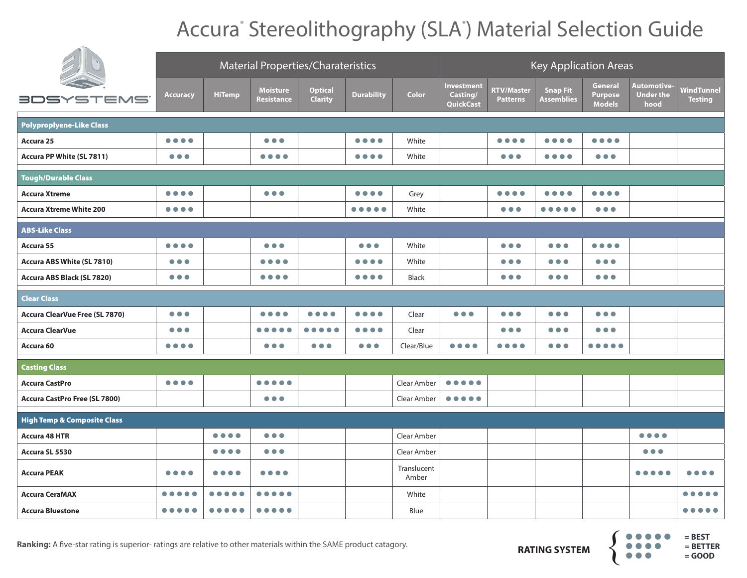## Accura<sup>®</sup> Stereolithography (SLA®) Material Selection Guide

|                                        |                                       | <b>Material Properties/Charateristics</b>      |                                       |                                  |                                       |                      | <b>Key Application Areas</b>               |                                      |                                       |                                            |                                         |                                            |  |
|----------------------------------------|---------------------------------------|------------------------------------------------|---------------------------------------|----------------------------------|---------------------------------------|----------------------|--------------------------------------------|--------------------------------------|---------------------------------------|--------------------------------------------|-----------------------------------------|--------------------------------------------|--|
| <b>BDSYSTEMS</b>                       | <b>Accuracy</b>                       | <b>HiTemp</b>                                  | <b>Moisture</b><br><b>Resistance</b>  | <b>Optical</b><br><b>Clarity</b> | <b>Durability</b>                     | <b>Color</b>         | Investment<br>Casting/<br><b>QuickCast</b> | <b>RTV/Master</b><br><b>Patterns</b> | <b>Snap Fit</b><br><b>Assemblies</b>  | General<br><b>Purpose</b><br><b>Models</b> | Automotive-<br><b>Under the</b><br>hood | WindTunnel<br><b>Testing</b>               |  |
| <b>Polyproplyene-Like Class</b>        |                                       |                                                |                                       |                                  |                                       |                      |                                            |                                      |                                       |                                            |                                         |                                            |  |
| Accura 25                              | $\bullet\bullet\bullet\bullet$        |                                                | $\bullet\bullet\bullet$               |                                  | $\bullet\bullet\bullet\bullet$        | White                |                                            | $\bullet\bullet\bullet\bullet$       | $\bullet\bullet\bullet\bullet$        | $\bullet\bullet\bullet\bullet$             |                                         |                                            |  |
| Accura PP White (SL 7811)              | $\bullet\bullet\bullet$               |                                                | $\bullet\bullet\bullet\bullet$        |                                  | $\bullet\bullet\bullet\bullet$        | White                |                                            | $\bullet\bullet\bullet$              | $\bullet\bullet\bullet\bullet$        | $\bullet\bullet\bullet$                    |                                         |                                            |  |
| <b>Tough/Durable Class</b>             |                                       |                                                |                                       |                                  |                                       |                      |                                            |                                      |                                       |                                            |                                         |                                            |  |
| <b>Accura Xtreme</b>                   | $\bullet\bullet\bullet\bullet$        |                                                | $\bullet\bullet\bullet$               |                                  | $\bullet\bullet\bullet\bullet$        | Grey                 |                                            | $\bullet\bullet\bullet\bullet$       | $\bullet\bullet\bullet\bullet$        | $\bullet\bullet\bullet\bullet$             |                                         |                                            |  |
| <b>Accura Xtreme White 200</b>         | $\bullet\bullet\bullet\bullet$        |                                                |                                       |                                  | $\bullet\bullet\bullet\bullet\bullet$ | White                |                                            | $\bullet\bullet\bullet$              | $\bullet\bullet\bullet\bullet\bullet$ | $\bullet\bullet\bullet$                    |                                         |                                            |  |
| <b>ABS-Like Class</b>                  |                                       |                                                |                                       |                                  |                                       |                      |                                            |                                      |                                       |                                            |                                         |                                            |  |
| Accura 55                              | $\bullet\bullet\bullet\bullet$        |                                                | $\bullet\bullet\bullet$               |                                  | $\bullet\bullet\bullet$               | White                |                                            | $\bullet\bullet\bullet$              | $\bullet\bullet\bullet$               | $\bullet\bullet\bullet\bullet$             |                                         |                                            |  |
| Accura ABS White (SL 7810)             | $\bullet\bullet\bullet$               |                                                | $\bullet\bullet\bullet\bullet$        |                                  | $\bullet\bullet\bullet\bullet$        | White                |                                            | $\bullet\bullet\bullet$              | $\bullet\bullet\bullet$               | $\bullet\bullet\bullet$                    |                                         |                                            |  |
| Accura ABS Black (SL 7820)             | $\bullet\bullet\bullet$               |                                                | $\bullet\bullet\bullet\bullet$        |                                  | $\bullet\bullet\bullet\bullet$        | <b>Black</b>         |                                            | $\bullet\bullet\bullet$              | $\bullet\bullet\bullet$               | $\bullet\bullet\bullet$                    |                                         |                                            |  |
| <b>Clear Class</b>                     |                                       |                                                |                                       |                                  |                                       |                      |                                            |                                      |                                       |                                            |                                         |                                            |  |
| Accura ClearVue Free (SL 7870)         | $\bullet\bullet\bullet$               |                                                | $\bullet\bullet\bullet\bullet$        | $\bullet\bullet\bullet\bullet$   | $\bullet\bullet\bullet\bullet$        | Clear                | $\bullet\bullet\bullet$                    | $\bullet\bullet\bullet$              | $\bullet\bullet\bullet$               | $\bullet\bullet\bullet$                    |                                         |                                            |  |
| <b>Accura ClearVue</b>                 | $\bullet\bullet\bullet$               |                                                | $\bullet\bullet\bullet\bullet\bullet$ |                                  | $\bullet\bullet\bullet\bullet$        | Clear                |                                            | $\bullet\bullet\bullet$              | $\bullet\bullet\bullet$               | $\bullet\bullet\bullet$                    |                                         |                                            |  |
| Accura 60                              | $\bullet\bullet\bullet\bullet$        |                                                | $\bullet\bullet\bullet$               | $\bullet\bullet\bullet$          | $\bullet\bullet\bullet$               | Clear/Blue           | $\bullet\bullet\bullet\bullet$             | $\bullet\bullet\bullet\bullet$       | $\bullet\bullet\bullet$               | $\bullet\bullet\bullet\bullet\bullet$      |                                         |                                            |  |
| <b>Casting Class</b>                   |                                       |                                                |                                       |                                  |                                       |                      |                                            |                                      |                                       |                                            |                                         |                                            |  |
| <b>Accura CastPro</b>                  | $\bullet\bullet\bullet\bullet$        |                                                | $\bullet\bullet\bullet\bullet\bullet$ |                                  |                                       | Clear Amber          | $\bullet\bullet\bullet\bullet\bullet$      |                                      |                                       |                                            |                                         |                                            |  |
| Accura CastPro Free (SL 7800)          |                                       |                                                | $\bullet\bullet\bullet$               |                                  |                                       | Clear Amber          | $\bullet\bullet\bullet\bullet\bullet$      |                                      |                                       |                                            |                                         |                                            |  |
| <b>High Temp &amp; Composite Class</b> |                                       |                                                |                                       |                                  |                                       |                      |                                            |                                      |                                       |                                            |                                         |                                            |  |
| <b>Accura 48 HTR</b>                   |                                       | $\bullet\bullet\bullet\bullet$                 | $\bullet\bullet\bullet$               |                                  |                                       | Clear Amber          |                                            |                                      |                                       |                                            | $\bullet\bullet\bullet\bullet$          |                                            |  |
| Accura SL 5530                         |                                       | $\bullet\bullet\bullet\bullet$                 | $\bullet\bullet\bullet$               |                                  |                                       | Clear Amber          |                                            |                                      |                                       |                                            | $\bullet\bullet\bullet$                 |                                            |  |
| <b>Accura PEAK</b>                     |                                       | .                                              | $\bullet\bullet\bullet\bullet$        |                                  |                                       | Translucent<br>Amber |                                            |                                      |                                       |                                            | $\bullet\bullet\bullet\bullet\bullet$   | $\bullet$ $\bullet$<br>$\bullet$ $\bullet$ |  |
| <b>Accura CeraMAX</b>                  | .                                     |                                                |                                       |                                  |                                       | White                |                                            |                                      |                                       |                                            |                                         | $\blacksquare$<br>$\bullet\bullet\bullet$  |  |
| <b>Accura Bluestone</b>                | $\bullet\bullet\bullet\bullet\bullet$ | $\bullet$<br>$\bullet$<br>$\sqrt{2}$<br>$\Box$ | $\bullet\bullet\bullet\bullet\bullet$ |                                  |                                       | Blue                 |                                            |                                      |                                       |                                            |                                         | $\bullet\bullet\bullet\bullet\bullet$      |  |

**Ranking:** A five-star rating is superior- ratings are relative to other materials within the SAME product catagory.

**•••••** = BEST **= BETTER RATING SYSTEM**  $\left\{\begin{array}{ccc} \bullet & \bullet & \bullet & \bullet & \bullet & =\text{BEST} \\ \bullet & \bullet & \bullet & \bullet & =\text{BETTE} \\ \bullet & \bullet & \bullet & \bullet & =\text{GOOD} \end{array}\right.$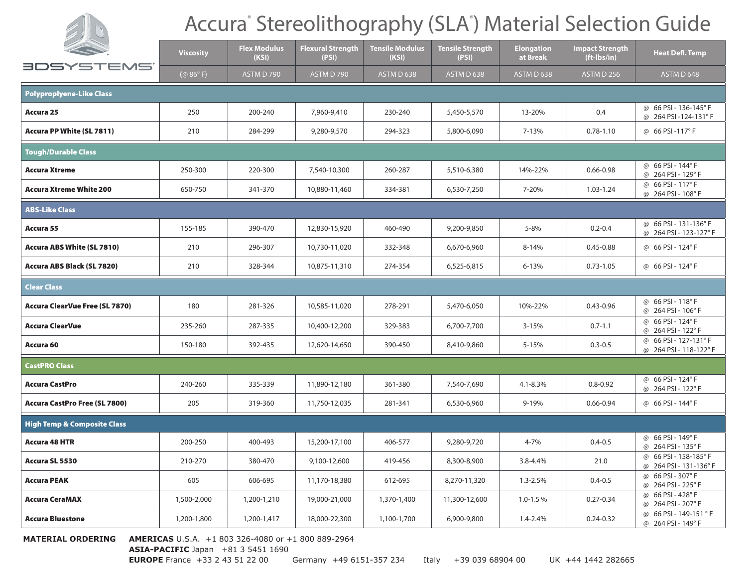

## Accura<sup>®</sup> Stereolithography (SLA®) Material Selection Guide

|                                        | <b>Viscosity</b>    | <b>Flex Modulus</b><br>(KSI) | <b>Flexural Strength</b><br>(PSI) | <b>Tensile Modulus</b><br>(KSI) | <b>Tensile Strength</b><br>(PSI) | <b>Elongation</b><br>at Break | <b>Impact Strength</b><br>(ft-lbs/in) | <b>Heat Defl. Temp</b>                        |  |  |  |
|----------------------------------------|---------------------|------------------------------|-----------------------------------|---------------------------------|----------------------------------|-------------------------------|---------------------------------------|-----------------------------------------------|--|--|--|
| 3DSYSTEMS'                             | $(Q \ 86^\circ)$ F) | ASTM D 790                   | ASTM D 790                        | ASTM D 638                      | ASTM D 638                       | ASTM D 638                    | ASTM D 256                            | ASTM D 648                                    |  |  |  |
| <b>Polyproplyene-Like Class</b>        |                     |                              |                                   |                                 |                                  |                               |                                       |                                               |  |  |  |
| Accura 25                              | 250                 | 200-240                      | 7,960-9,410                       | 230-240                         | 5,450-5,570                      | 13-20%                        | 0.4                                   | @ 66 PSI - 136-145°F<br>@ 264 PSI-124-131°F   |  |  |  |
| <b>Accura PP White (SL 7811)</b>       | 210                 | 284-299                      | 9,280-9,570                       | 294-323                         | 5,800-6,090                      | 7-13%                         | $0.78 - 1.10$                         | @ 66 PSI-117°F                                |  |  |  |
| <b>Tough/Durable Class</b>             |                     |                              |                                   |                                 |                                  |                               |                                       |                                               |  |  |  |
| <b>Accura Xtreme</b>                   | 250-300             | 220-300                      | 7,540-10,300                      | 260-287                         | 5,510-6,380                      | 14%-22%                       | $0.66 - 0.98$                         | @ 66 PSI - 144° F<br>@ 264 PSI - 129°F        |  |  |  |
| <b>Accura Xtreme White 200</b>         | 650-750             | 341-370                      | 10,880-11,460                     | 334-381                         | 6,530-7,250                      | 7-20%                         | $1.03 - 1.24$                         | @ 66 PSI - 117°F<br>@ 264 PSI - 108°F         |  |  |  |
| <b>ABS-Like Class</b>                  |                     |                              |                                   |                                 |                                  |                               |                                       |                                               |  |  |  |
| Accura 55                              | 155-185             | 390-470                      | 12,830-15,920                     | 460-490                         | 9,200-9,850                      | $5 - 8%$                      | $0.2 - 0.4$                           | @ 66 PSI - 131-136°F<br>@ 264 PSI - 123-127°F |  |  |  |
| <b>Accura ABS White (SL 7810)</b>      | 210                 | 296-307                      | 10,730-11,020                     | 332-348                         | 6,670-6,960                      | 8-14%                         | $0.45 - 0.88$                         | @ 66 PSI - 124°F                              |  |  |  |
| Accura ABS Black (SL 7820)             | 210                 | 328-344                      | 10,875-11,310                     | 274-354                         | 6,525-6,815                      | $6 - 13%$                     | $0.73 - 1.05$                         | @ 66 PSI - 124°F                              |  |  |  |
| <b>Clear Class</b>                     |                     |                              |                                   |                                 |                                  |                               |                                       |                                               |  |  |  |
| <b>Accura ClearVue Free (SL 7870)</b>  | 180                 | 281-326                      | 10,585-11,020                     | 278-291                         | 5,470-6,050                      | 10%-22%                       | $0.43 - 0.96$                         | @ 66 PSI - 118°F<br>@ 264 PSI - 106°F         |  |  |  |
| <b>Accura ClearVue</b>                 | 235-260             | 287-335                      | 10,400-12,200                     | 329-383                         | 6,700-7,700                      | $3 - 15%$                     | $0.7 - 1.1$                           | @ 66 PSI - 124°F<br>@ 264 PSI - 122°F         |  |  |  |
| Accura 60                              | 150-180             | 392-435                      | 12,620-14,650                     | 390-450                         | 8,410-9,860                      | $5 - 15%$                     | $0.3 - 0.5$                           | @ 66 PSI - 127-131°F<br>@ 264 PSI - 118-122°F |  |  |  |
| <b>CastPRO Class</b>                   |                     |                              |                                   |                                 |                                  |                               |                                       |                                               |  |  |  |
| <b>Accura CastPro</b>                  | 240-260             | 335-339                      | 11,890-12,180                     | 361-380                         | 7,540-7,690                      | $4.1 - 8.3\%$                 | $0.8 - 0.92$                          | @ 66 PSI - 124°F<br>@ 264 PSI - 122°F         |  |  |  |
| <b>Accura CastPro Free (SL 7800)</b>   | 205                 | 319-360                      | 11,750-12,035                     | 281-341                         | 6,530-6,960                      | 9-19%                         | $0.66 - 0.94$                         | @ 66 PSI - 144°F                              |  |  |  |
| <b>High Temp &amp; Composite Class</b> |                     |                              |                                   |                                 |                                  |                               |                                       |                                               |  |  |  |
| <b>Accura 48 HTR</b>                   | 200-250             | 400-493                      | 15,200-17,100                     | 406-577                         | 9,280-9,720                      | 4-7%                          | $0.4 - 0.5$                           | @ 66 PSI - 149°F<br>@ 264 PSI - 135°F         |  |  |  |
| Accura SL 5530                         | 210-270             | 380-470                      | 9,100-12,600                      | 419-456                         | 8,300-8,900                      | 3.8-4.4%                      | 21.0                                  | @ 66 PSI - 158-185°F<br>@ 264 PSI - 131-136°F |  |  |  |
| <b>Accura PEAK</b>                     | 605                 | 606-695                      | 11,170-18,380                     | 612-695                         | 8,270-11,320                     | $1.3 - 2.5%$                  | $0.4 - 0.5$                           | @ 66 PSI - 307°F<br>@ 264 PSI - 225°F         |  |  |  |
| <b>Accura CeraMAX</b>                  | 1,500-2,000         | 1,200-1,210                  | 19,000-21,000                     | 1,370-1,400                     | 11,300-12,600                    | $1.0 - 1.5%$                  | $0.27 - 0.34$                         | @ 66 PSI - 428°F<br>@ 264 PSI - 207°F         |  |  |  |
| <b>Accura Bluestone</b>                | 1,200-1,800         | 1,200-1,417                  | 18,000-22,300                     | 1,100-1,700                     | 6,900-9,800                      | 1.4-2.4%                      | $0.24 - 0.32$                         | @ 66 PSI - 149-151 °F<br>@ 264 PSI - 149°F    |  |  |  |

**MATERIAL ORDERING AMERICAS** U.S.A. +1 803 326-4080 or +1 800 889-2964 **ASIA-PACIFIC** Japan +81 3 5451 1690